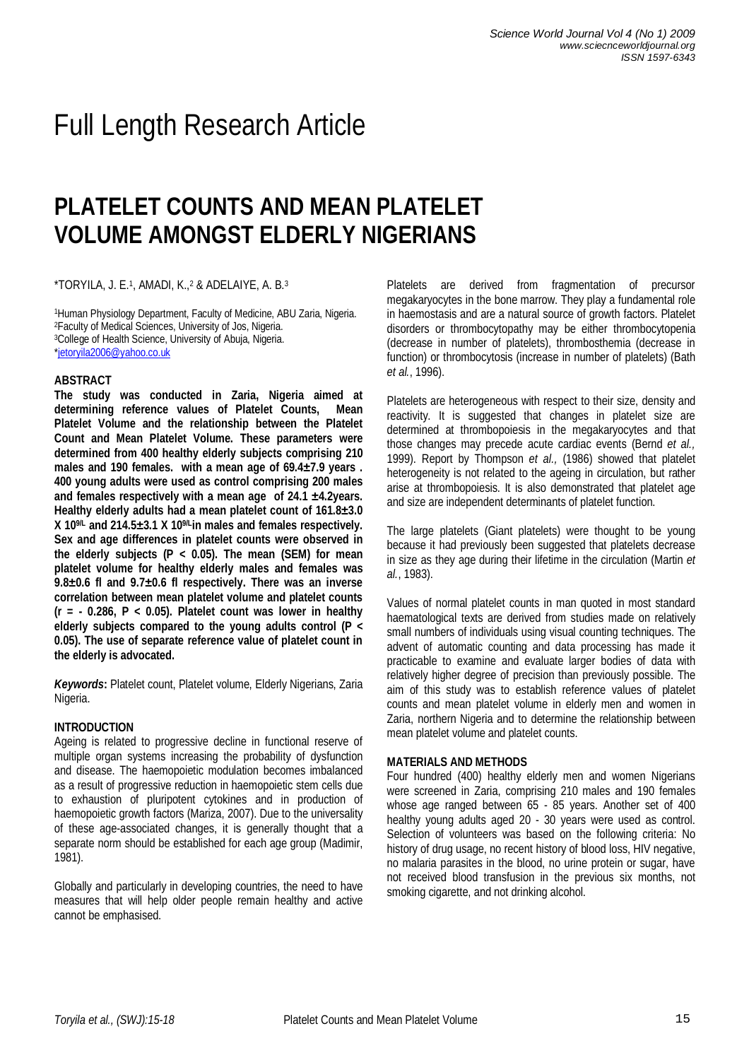# Full Length Research Article

# **PLATELET COUNTS AND MEAN PLATELET VOLUME AMONGST ELDERLY NIGERIANS**

 $^{\star}$ TORYILA, J. E. $^{1}$ , AMADI, K., $^{2}$  & ADELAIYE, A. B. $^{3}$ 

<sup>1</sup>Human Physiology Department, Faculty of Medicine, ABU Zaria, Nigeria. <sup>2</sup>Faculty of Medical Sciences, University of Jos, Nigeria. <sup>3</sup>College of Health Science, University of Abuja, Nigeria. \*jetoryila2006@yahoo.co.uk

## **ABSTRACT**

**The study was conducted in Zaria, Nigeria aimed at determining reference values of Platelet Counts, Mean Platelet Volume and the relationship between the Platelet Count and Mean Platelet Volume. These parameters were determined from 400 healthy elderly subjects comprising 210 males and 190 females. with a mean age of 69.4±7.9 years . 400 young adults were used as control comprising 200 males and females respectively with a mean age of 24.1 ±4.2years. Healthy elderly adults had a mean platelet count of 161.8±3.0 X 109/L and 214.5±3.1 X 109/Lin males and females respectively. Sex and age differences in platelet counts were observed in the elderly subjects (P < 0.05). The mean (SEM) for mean platelet volume for healthy elderly males and females was 9.8±0.6 fl and 9.7±0.6 fl respectively. There was an inverse correlation between mean platelet volume and platelet counts (r = - 0.286, P < 0.05). Platelet count was lower in healthy elderly subjects compared to the young adults control (P < 0.05). The use of separate reference value of platelet count in the elderly is advocated.**

*Keywords***:** Platelet count, Platelet volume, Elderly Nigerians, Zaria Nigeria.

# **INTRODUCTION**

Ageing is related to progressive decline in functional reserve of multiple organ systems increasing the probability of dysfunction and disease. The haemopoietic modulation becomes imbalanced as a result of progressive reduction in haemopoietic stem cells due to exhaustion of pluripotent cytokines and in production of haemopoietic growth factors (Mariza, 2007). Due to the universality of these age-associated changes, it is generally thought that a separate norm should be established for each age group (Madimir, 1981).

Globally and particularly in developing countries, the need to have measures that will help older people remain healthy and active cannot be emphasised.

Platelets are derived from fragmentation of precursor megakaryocytes in the bone marrow. They play a fundamental role in haemostasis and are a natural source of growth factors. Platelet disorders or thrombocytopathy may be either thrombocytopenia (decrease in number of platelets), thrombosthemia (decrease in function) or thrombocytosis (increase in number of platelets) (Bath *et al.*, 1996).

Platelets are heterogeneous with respect to their size, density and reactivity. It is suggested that changes in platelet size are determined at thrombopoiesis in the megakaryocytes and that those changes may precede acute cardiac events (Bernd *et al.,* 1999). Report by Thompson *et al.,* (1986) showed that platelet heterogeneity is not related to the ageing in circulation, but rather arise at thrombopoiesis. It is also demonstrated that platelet age and size are independent determinants of platelet function.

The large platelets (Giant platelets) were thought to be young because it had previously been suggested that platelets decrease in size as they age during their lifetime in the circulation (Martin *et al.*, 1983).

Values of normal platelet counts in man quoted in most standard haematological texts are derived from studies made on relatively small numbers of individuals using visual counting techniques. The advent of automatic counting and data processing has made it practicable to examine and evaluate larger bodies of data with relatively higher degree of precision than previously possible. The aim of this study was to establish reference values of platelet counts and mean platelet volume in elderly men and women in Zaria, northern Nigeria and to determine the relationship between mean platelet volume and platelet counts.

## **MATERIALS AND METHODS**

Four hundred (400) healthy elderly men and women Nigerians were screened in Zaria, comprising 210 males and 190 females whose age ranged between 65 - 85 years. Another set of 400 healthy young adults aged 20 - 30 years were used as control. Selection of volunteers was based on the following criteria: No history of drug usage, no recent history of blood loss, HIV negative, no malaria parasites in the blood, no urine protein or sugar, have not received blood transfusion in the previous six months, not smoking cigarette, and not drinking alcohol.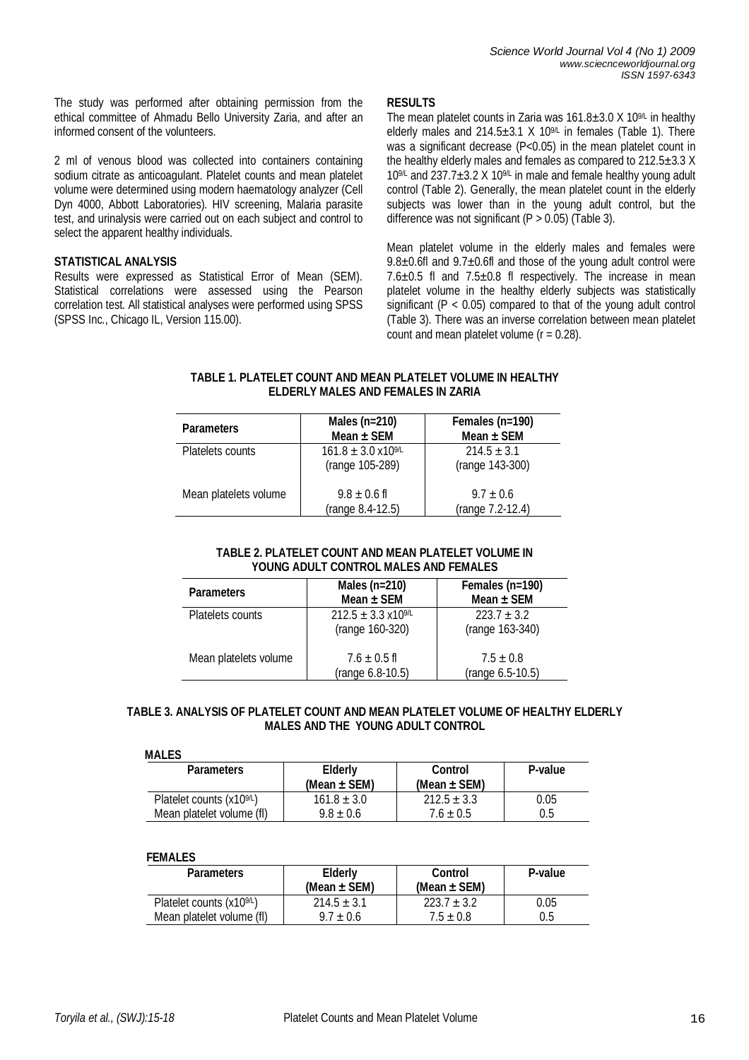The study was performed after obtaining permission from the ethical committee of Ahmadu Bello University Zaria, and after an informed consent of the volunteers.

2 ml of venous blood was collected into containers containing sodium citrate as anticoagulant. Platelet counts and mean platelet volume were determined using modern haematology analyzer (Cell Dyn 4000, Abbott Laboratories). HIV screening, Malaria parasite test, and urinalysis were carried out on each subject and control to select the apparent healthy individuals.

# **STATISTICAL ANALYSIS**

Results were expressed as Statistical Error of Mean (SEM). Statistical correlations were assessed using the Pearson correlation test. All statistical analyses were performed using SPSS (SPSS Inc., Chicago IL, Version 115.00).

# **RESULTS**

The mean platelet counts in Zaria was  $161.8 \pm 3.0$  X  $10^{9/L}$  in healthy elderly males and 214.5 $\pm$ 3.1 X 10<sup>9/L</sup> in females (Table 1). There was a significant decrease (P<0.05) in the mean platelet count in the healthy elderly males and females as compared to  $212.5 \pm 3.3$  X  $10<sup>9</sup>$  and  $237.7 $\pm$ 3.2 X 10<sup>9</sup>$  in male and female healthy young adult control (Table 2). Generally, the mean platelet count in the elderly subjects was lower than in the young adult control, but the difference was not significant ( $P > 0.05$ ) (Table 3).

Mean platelet volume in the elderly males and females were  $9.8\pm0.6f$  and  $9.7\pm0.6f$  and those of the young adult control were  $7.6\pm0.5$  fl and  $7.5\pm0.8$  fl respectively. The increase in mean platelet volume in the healthy elderly subjects was statistically significant ( $P < 0.05$ ) compared to that of the young adult control (Table 3). There was an inverse correlation between mean platelet count and mean platelet volume  $(r = 0.28)$ .

# **TABLE 1. PLATELET COUNT AND MEAN PLATELET VOLUME IN HEALTHY ELDERLY MALES AND FEMALES IN ZARIA**

| <b>Parameters</b>     | Males (n=210)<br>Mean $\pm$ SEM                    | Females (n=190)<br>Mean $\pm$ SEM |
|-----------------------|----------------------------------------------------|-----------------------------------|
| Platelets counts      | $161.8 \pm 3.0 \times 10^{9/L}$<br>(range 105-289) | $214.5 + 3.1$<br>(range 143-300)  |
| Mean platelets volume | $9.8 \pm 0.6$ fl<br>(range 8.4-12.5)               | $9.7 \pm 0.6$<br>(range 7.2-12.4) |

## **TABLE 2. PLATELET COUNT AND MEAN PLATELET VOLUME IN YOUNG ADULT CONTROL MALES AND FEMALES**

| <b>Parameters</b>     | Males (n=210)<br>Mean $\pm$ SEM                    | Females (n=190)<br>Mean $\pm$ SEM |
|-----------------------|----------------------------------------------------|-----------------------------------|
| Platelets counts      | $212.5 \pm 3.3 \times 10^{9/L}$<br>(range 160-320) | $223.7 + 3.2$<br>(range 163-340)  |
| Mean platelets volume | $7.6 \pm 0.5$ fl<br>(range 6.8-10.5)               | $7.5 \pm 0.8$<br>(range 6.5-10.5) |

# **TABLE 3. ANALYSIS OF PLATELET COUNT AND MEAN PLATELET VOLUME OF HEALTHY ELDERLY MALES AND THE YOUNG ADULT CONTROL**

## **MALES**

| <b>Parameters</b>                     | <b>Elderly</b><br>(Mean $\pm$ SEM) | <b>Control</b><br>(Mean $\pm$ SEM) | P-value |
|---------------------------------------|------------------------------------|------------------------------------|---------|
| Platelet counts (x10 <sup>9/L</sup> ) | $161.8 \pm 3.0$                    | $212.5 \pm 3.3$                    | 0.05    |
| Mean platelet volume (fl)             | $9.8 \pm 0.6$                      | $7.6 \pm 0.5$                      | 0.5     |

## **FEMALES**

| <b>Parameters</b>                     | <b>Elderly</b><br>(Mean $\pm$ SEM) | <b>Control</b><br>(Mean $\pm$ SEM) | P-value |
|---------------------------------------|------------------------------------|------------------------------------|---------|
| Platelet counts (x10 <sup>9/L</sup> ) | $214.5 \pm 3.1$                    | $223.7 \pm 3.2$                    | 0.05    |
| Mean platelet volume (fl)             | $9.7 \pm 0.6$                      | $7.5 \pm 0.8$                      | 0.5     |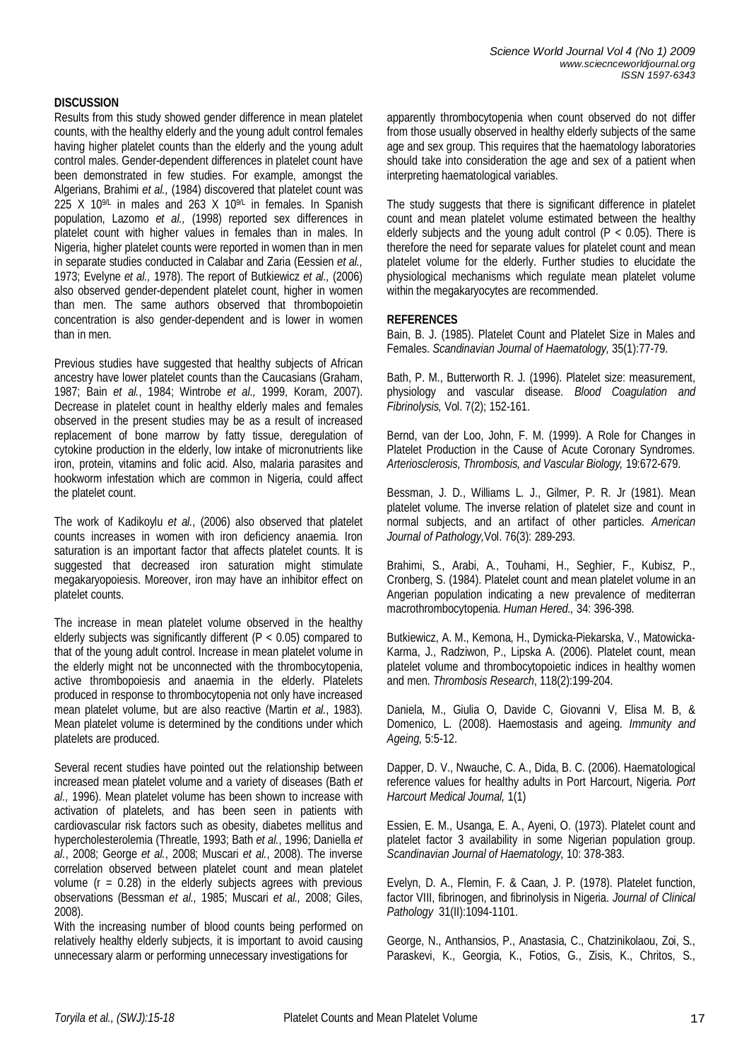## **DISCUSSION**

Results from this study showed gender difference in mean platelet counts, with the healthy elderly and the young adult control females having higher platelet counts than the elderly and the young adult control males. Gender-dependent differences in platelet count have been demonstrated in few studies. For example, amongst the Algerians, Brahimi *et al.,* (1984) discovered that platelet count was 225 X 10<sup>9L</sup> in males and 263 X 10<sup>9L</sup> in females. In Spanish population, Lazomo *et al.,* (1998) reported sex differences in platelet count with higher values in females than in males. In Nigeria, higher platelet counts were reported in women than in men in separate studies conducted in Calabar and Zaria (Eessien *et al.,* 1973; Evelyne *et al.,* 1978). The report of Butkiewicz *et al.,* (2006) also observed gender-dependent platelet count, higher in women than men. The same authors observed that thrombopoietin concentration is also gender-dependent and is lower in women than in men.

Previous studies have suggested that healthy subjects of African ancestry have lower platelet counts than the Caucasians (Graham, 1987; Bain *et al.*, 1984; Wintrobe *et al.,* 1999, Koram, 2007). Decrease in platelet count in healthy elderly males and females observed in the present studies may be as a result of increased replacement of bone marrow by fatty tissue, deregulation of cytokine production in the elderly, low intake of micronutrients like iron, protein, vitamins and folic acid. Also, malaria parasites and hookworm infestation which are common in Nigeria, could affect the platelet count.

The work of Kadikoylu *et al.*, (2006) also observed that platelet counts increases in women with iron deficiency anaemia. Iron saturation is an important factor that affects platelet counts. It is suggested that decreased iron saturation might stimulate megakaryopoiesis. Moreover, iron may have an inhibitor effect on platelet counts.

The increase in mean platelet volume observed in the healthy elderly subjects was significantly different (P < 0.05) compared to that of the young adult control. Increase in mean platelet volume in the elderly might not be unconnected with the thrombocytopenia, active thrombopoiesis and anaemia in the elderly. Platelets produced in response to thrombocytopenia not only have increased mean platelet volume, but are also reactive (Martin *et al.*, 1983). Mean platelet volume is determined by the conditions under which platelets are produced.

Several recent studies have pointed out the relationship between increased mean platelet volume and a variety of diseases (Bath *et al.,* 1996). Mean platelet volume has been shown to increase with activation of platelets, and has been seen in patients with cardiovascular risk factors such as obesity, diabetes mellitus and hypercholesterolemia (Threatle, 1993; Bath *et al.*, 1996; Daniella *et al.*, 2008; George *et al.*, 2008; Muscari *et al.*, 2008). The inverse correlation observed between platelet count and mean platelet volume ( $r = 0.28$ ) in the elderly subjects agrees with previous observations (Bessman *et al.,* 1985; Muscari *et al.,* 2008; Giles, 2008).

With the increasing number of blood counts being performed on relatively healthy elderly subjects, it is important to avoid causing unnecessary alarm or performing unnecessary investigations for

apparently thrombocytopenia when count observed do not differ from those usually observed in healthy elderly subjects of the same age and sex group. This requires that the haematology laboratories should take into consideration the age and sex of a patient when interpreting haematological variables.

The study suggests that there is significant difference in platelet count and mean platelet volume estimated between the healthy elderly subjects and the young adult control  $(P < 0.05)$ . There is therefore the need for separate values for platelet count and mean platelet volume for the elderly. Further studies to elucidate the physiological mechanisms which regulate mean platelet volume within the megakaryocytes are recommended.

# **REFERENCES**

Bain, B. J. (1985). Platelet Count and Platelet Size in Males and Females. *Scandinavian Journal of Haematology,* 35(1):77-79.

Bath, P. M., Butterworth R. J. (1996). Platelet size: measurement, physiology and vascular disease. *Blood Coagulation and Fibrinolysis,* Vol. 7(2); 152-161.

Bernd, van der Loo, John, F. M. (1999). A Role for Changes in Platelet Production in the Cause of Acute Coronary Syndromes. *Arteriosclerosis, Thrombosis, and Vascular Biology,* 19:672-679.

Bessman, J. D., Williams L. J., Gilmer, P. R. Jr (1981). Mean platelet volume. The inverse relation of platelet size and count in normal subjects, and an artifact of other particles. *American Journal of Pathology,*Vol. 76(3): 289-293.

Brahimi, S., Arabi, A., Touhami, H., Seghier, F., Kubisz, P., Cronberg, S. (1984). Platelet count and mean platelet volume in an Angerian population indicating a new prevalence of mediterran macrothrombocytopenia. *Human Hered.,* 34: 396-398.

Butkiewicz, A. M., Kemona, H., Dymicka-Piekarska, V., Matowicka-Karma, J., Radziwon, P., Lipska A. (2006). Platelet count, mean platelet volume and thrombocytopoietic indices in healthy women and men. *Thrombosis Research*, 118(2):199-204.

Daniela, M., Giulia O, Davide C, Giovanni V, Elisa M. B, & Domenico, L. (2008). Haemostasis and ageing. *Immunity and Ageing,* 5:5-12.

Dapper, D. V., Nwauche, C. A., Dida, B. C. (2006). Haematological reference values for healthy adults in Port Harcourt, Nigeria. *Port Harcourt Medical Journal,* 1(1)

Essien, E. M., Usanga, E. A., Ayeni, O. (1973). Platelet count and platelet factor 3 availability in some Nigerian population group. *Scandinavian Journal of Haematology,* 10: 378-383.

Evelyn, D. A., Flemin, F. & Caan, J. P. (1978). Platelet function, factor VIII, fibrinogen, and fibrinolysis in Nigeria. *Journal of Clinical Pathology* 31(II):1094-1101.

George, N., Anthansios, P., Anastasia, C., Chatzinikolaou, Zoi, S., Paraskevi, K., Georgia, K., Fotios, G., Zisis, K., Chritos, S.,